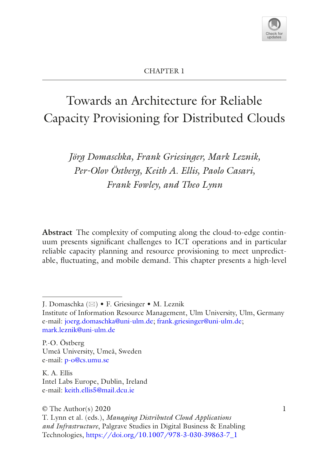

# Towards an Architecture for Reliable Capacity Provisioning for Distributed Clouds

*Jörg Domaschka, Frank Griesinger, Mark Leznik, Per-Olov Östberg, Keith A. Ellis, Paolo Casari, Frank Fowley, and Theo Lynn*

**Abstract** The complexity of computing along the cloud-to-edge continuum presents significant challenges to ICT operations and in particular reliable capacity planning and resource provisioning to meet unpredictable, fluctuating, and mobile demand. This chapter presents a high-level

P.-O. Östberg Umeå University, Umeå, Sweden e-mail: [p-o@cs.umu.se](mailto:p-o@cs.umu.se)

K. A. Ellis Intel Labs Europe, Dublin, Ireland e-mail: [keith.ellis5@mail.dcu.ie](mailto:keith.ellis5@mail.dcu.ie)

 $\oslash$  The Author(s) 2020 1

J. Domaschka (⊠) • F. Griesinger • M. Leznik

Institute of Information Resource Management, Ulm University, [Ulm](mailto:mark.leznik@uni-ulm.de), Germany e-mail: [joerg.domaschka@uni-ulm.de](mailto:joerg.domaschka@uni-ulm.de); [frank.griesinger@uni-ulm.de](mailto:frank.griesinger@uni-ulm.de); [mark.leznik@uni-ulm.de](mailto:mark.leznik@uni-ulm.de)

T. Lynn et al. (eds.), *Managing Distributed Cloud Applications and Infrastructure*, Palgrave Studies in Digital Business & Enabling Technologies, [https://doi.org/10.1007/978-3-030-39863-7\\_1](https://doi.org/10.1007/978-3-030-39863-7_1#DOI)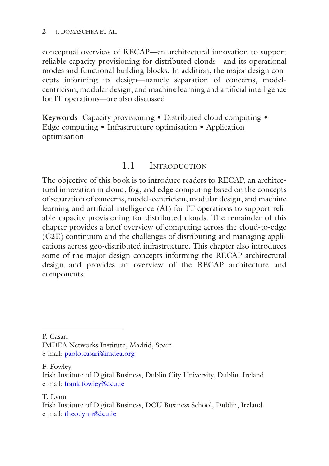#### $\mathcal{L}$ J. DOMASCHKA ET AL.

conceptual overview of RECAP—an architectural innovation to support reliable capacity provisioning for distributed clouds—and its operational modes and functional building blocks. In addition, the major design concepts informing its design—namely separation of concerns, modelcentricism, modular design, and machine learning and artificial intelligence for IT operations—are also discussed.

**Keywords** Capacity provisioning • Distributed cloud computing • Edge computing • Infrastructure optimisation • Application optimisation

# 1.1 Introduction

The objective of this book is to introduce readers to RECAP, an architectural innovation in cloud, fog, and edge computing based on the concepts of separation of concerns, model-centricism, modular design, and machine learning and artificial intelligence (AI) for IT operations to support reliable capacity provisioning for distributed clouds. The remainder of this chapter provides a brief overview of computing across the cloud-to-edge (C2E) continuum and the challenges of distributing and managing applications across geo-distributed infrastructure. This chapter also introduces some of the major design concepts informing the RECAP architectural design and provides an overview of the RECAP architecture and components.

P. Casari

IMDEA Networks Institute, Madrid, Spain e-mail: [paolo.casari@imdea.org](mailto:paolo.casari@imdea.org)

F. Fowley

T. Lynn

Irish Institute of Digital Business, Dublin City University, Dublin, Ireland e-mail: [frank.fowley@dcu.ie](mailto:frank.fowley@dcu.ie)

Irish Institute of Digital Business, DCU Business School, Dublin, Ireland e-mail: [theo.lynn@dcu.ie](mailto:theo.lynn@dcu.ie)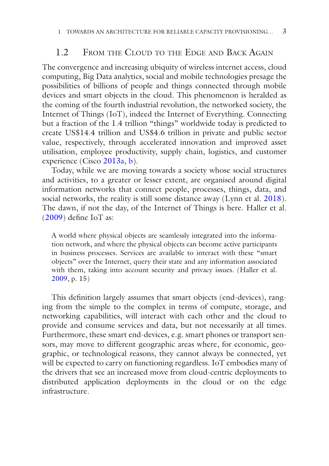#### 1.2 FROM THE CLOUD TO THE EDGE AND BACK AGAIN

The convergence and increasing ubiquity of wireless internet access, cloud computing, Big Data analytics, social and mobile technologies presage the possibilities of billions of people and things connected through mobile devices and smart objects in the cloud. This phenomenon is heralded as the coming of the fourth industrial revolution, the networked society, the Internet of Things (IoT), indeed the Internet of Everything. Connecting but a fraction of the 1.4 trillion "things" worldwide today is predicted to create US\$14.4 trillion and US\$4.6 trillion in private and public sector value, respectively, through accelerated innovation and improved asset utilisation, employee productivity, supply chain, logistics, and customer experience (Cisco [2013a](#page-23-0), [b\)](#page-23-1).

Today, while we are moving towards a society whose social structures and activities, to a greater or lesser extent, are organised around digital information networks that connect people, processes, things, data, and social networks, the reality is still some distance away (Lynn et al. [2018](#page-24-0)). The dawn, if not the day, of the Internet of Things is here. Haller et al. ([2009](#page-23-2)) define IoT as:

A world where physical objects are seamlessly integrated into the information network, and where the physical objects can become active participants in business processes. Services are available to interact with these "smart objects" over the Internet, query their state and any information associated with them, taking into account security and privacy issues. (Haller et al. [2009](#page-23-2), p. 15)

This definition largely assumes that smart objects (end-devices), ranging from the simple to the complex in terms of compute, storage, and networking capabilities, will interact with each other and the cloud to provide and consume services and data, but not necessarily at all times. Furthermore, these smart end-devices, e.g. smart phones or transport sensors, may move to different geographic areas where, for economic, geographic, or technological reasons, they cannot always be connected, yet will be expected to carry on functioning regardless. IoT embodies many of the drivers that see an increased move from cloud-centric deployments to distributed application deployments in the cloud or on the edge infrastructure.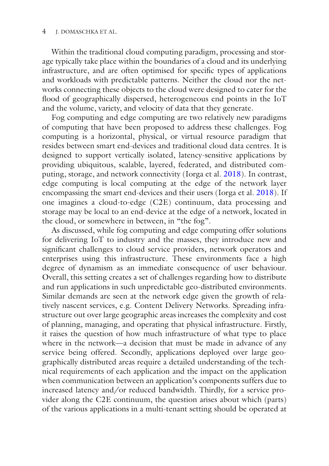#### 4 J. DOMASCHKA ET AL.

Within the traditional cloud computing paradigm, processing and storage typically take place within the boundaries of a cloud and its underlying infrastructure, and are often optimised for specific types of applications and workloads with predictable patterns. Neither the cloud nor the networks connecting these objects to the cloud were designed to cater for the flood of geographically dispersed, heterogeneous end points in the IoT and the volume, variety, and velocity of data that they generate.

Fog computing and edge computing are two relatively new paradigms of computing that have been proposed to address these challenges. Fog computing is a horizontal, physical, or virtual resource paradigm that resides between smart end-devices and traditional cloud data centres. It is designed to support vertically isolated, latency-sensitive applications by providing ubiquitous, scalable, layered, federated, and distributed computing, storage, and network connectivity (Iorga et al. [2018\)](#page-24-1). In contrast, edge computing is local computing at the edge of the network layer encompassing the smart end-devices and their users (Iorga et al. [2018](#page-24-1)). If one imagines a cloud-to-edge (C2E) continuum, data processing and storage may be local to an end-device at the edge of a network, located in the cloud, or somewhere in between, in "the fog".

As discussed, while fog computing and edge computing offer solutions for delivering IoT to industry and the masses, they introduce new and significant challenges to cloud service providers, network operators and enterprises using this infrastructure. These environments face a high degree of dynamism as an immediate consequence of user behaviour. Overall, this setting creates a set of challenges regarding how to distribute and run applications in such unpredictable geo-distributed environments. Similar demands are seen at the network edge given the growth of relatively nascent services, e.g. Content Delivery Networks. Spreading infrastructure out over large geographic areas increases the complexity and cost of planning, managing, and operating that physical infrastructure. Firstly, it raises the question of how much infrastructure of what type to place where in the network—a decision that must be made in advance of any service being offered. Secondly, applications deployed over large geographically distributed areas require a detailed understanding of the technical requirements of each application and the impact on the application when communication between an application's components suffers due to increased latency and/or reduced bandwidth. Thirdly, for a service provider along the C2E continuum, the question arises about which (parts) of the various applications in a multi-tenant setting should be operated at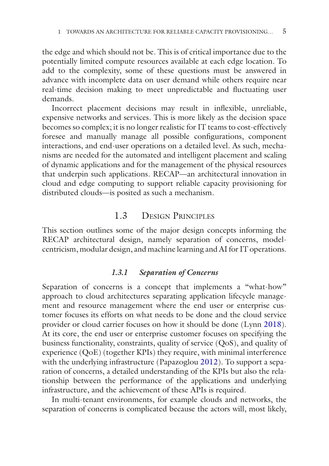the edge and which should not be. This is of critical importance due to the potentially limited compute resources available at each edge location. To add to the complexity, some of these questions must be answered in advance with incomplete data on user demand while others require near real-time decision making to meet unpredictable and fluctuating user demands.

Incorrect placement decisions may result in inflexible, unreliable, expensive networks and services. This is more likely as the decision space becomes so complex; it is no longer realistic for IT teams to cost-effectively foresee and manually manage all possible configurations, component interactions, and end-user operations on a detailed level. As such, mechanisms are needed for the automated and intelligent placement and scaling of dynamic applications and for the management of the physical resources that underpin such applications. RECAP—an architectural innovation in cloud and edge computing to support reliable capacity provisioning for distributed clouds—is posited as such a mechanism.

## 1.3 Design Principles

This section outlines some of the major design concepts informing the RECAP architectural design, namely separation of concerns, modelcentricism, modular design, and machine learning and AI for IT operations.

#### *1.3.1 Separation of Concerns*

Separation of concerns is a concept that implements a "what-how" approach to cloud architectures separating application lifecycle management and resource management where the end user or enterprise customer focuses its efforts on what needs to be done and the cloud service provider or cloud carrier focuses on how it should be done (Lynn [2018](#page-24-2)). At its core, the end user or enterprise customer focuses on specifying the business functionality, constraints, quality of service (QoS), and quality of experience (QoE) (together KPIs) they require, with minimal interference with the underlying infrastructure (Papazoglou [2012](#page-24-3)). To support a separation of concerns, a detailed understanding of the KPIs but also the relationship between the performance of the applications and underlying infrastructure, and the achievement of these APIs is required.

In multi-tenant environments, for example clouds and networks, the separation of concerns is complicated because the actors will, most likely,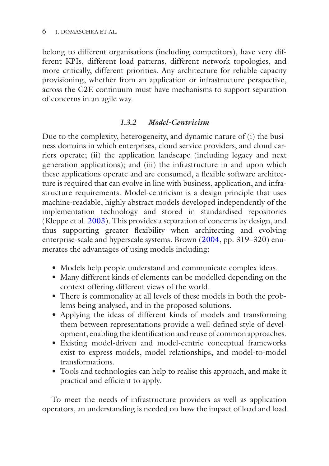belong to different organisations (including competitors), have very different KPIs, different load patterns, different network topologies, and more critically, different priorities. Any architecture for reliable capacity provisioning, whether from an application or infrastructure perspective, across the C2E continuum must have mechanisms to support separation of concerns in an agile way.

# *1.3.2 Model-Centricism*

Due to the complexity, heterogeneity, and dynamic nature of (i) the business domains in which enterprises, cloud service providers, and cloud carriers operate; (ii) the application landscape (including legacy and next generation applications); and (iii) the infrastructure in and upon which these applications operate and are consumed, a flexible software architecture is required that can evolve in line with business, application, and infrastructure requirements. Model-centricism is a design principle that uses machine-readable, highly abstract models developed independently of the implementation technology and stored in standardised repositories (Kleppe et al. [2003](#page-24-4)). This provides a separation of concerns by design, and thus supporting greater flexibility when architecting and evolving enterprise-scale and hyperscale systems. Brown [\(2004,](#page-23-3) pp. 319–320) enumerates the advantages of using models including:

- Models help people understand and communicate complex ideas.
- Many different kinds of elements can be modelled depending on the context offering different views of the world.
- There is commonality at all levels of these models in both the problems being analysed, and in the proposed solutions.
- Applying the ideas of different kinds of models and transforming them between representations provide a well-defined style of development, enabling the identification and reuse of common approaches.
- Existing model-driven and model-centric conceptual frameworks exist to express models, model relationships, and model-to-model transformations.
- Tools and technologies can help to realise this approach, and make it practical and efficient to apply.

To meet the needs of infrastructure providers as well as application operators, an understanding is needed on how the impact of load and load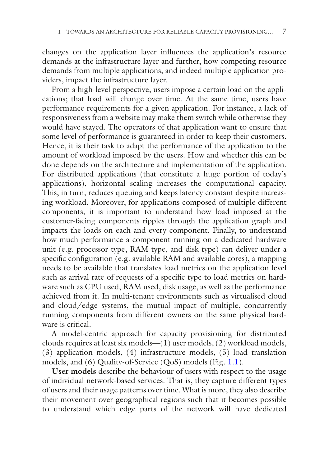changes on the application layer influences the application's resource demands at the infrastructure layer and further, how competing resource demands from multiple applications, and indeed multiple application providers, impact the infrastructure layer.

From a high-level perspective, users impose a certain load on the applications; that load will change over time. At the same time, users have performance requirements for a given application. For instance, a lack of responsiveness from a website may make them switch while otherwise they would have stayed. The operators of that application want to ensure that some level of performance is guaranteed in order to keep their customers. Hence, it is their task to adapt the performance of the application to the amount of workload imposed by the users. How and whether this can be done depends on the architecture and implementation of the application. For distributed applications (that constitute a huge portion of today's applications), horizontal scaling increases the computational capacity. This, in turn, reduces queuing and keeps latency constant despite increasing workload. Moreover, for applications composed of multiple different components, it is important to understand how load imposed at the customer-facing components ripples through the application graph and impacts the loads on each and every component. Finally, to understand how much performance a component running on a dedicated hardware unit (e.g. processor type, RAM type, and disk type) can deliver under a specific configuration (e.g. available RAM and available cores), a mapping needs to be available that translates load metrics on the application level such as arrival rate of requests of a specific type to load metrics on hardware such as CPU used, RAM used, disk usage, as well as the performance achieved from it. In multi-tenant environments such as virtualised cloud and cloud/edge systems, the mutual impact of multiple, concurrently running components from different owners on the same physical hardware is critical.

A model-centric approach for capacity provisioning for distributed clouds requires at least six models— $(1)$  user models,  $(2)$  workload models, (3) application models, (4) infrastructure models, (5) load translation models, and (6) Quality-of-Service (QoS) models (Fig. [1.1\)](#page-7-0).

**User models** describe the behaviour of users with respect to the usage of individual network-based services. That is, they capture different types of users and their usage patterns over time. What is more, they also describe their movement over geographical regions such that it becomes possible to understand which edge parts of the network will have dedicated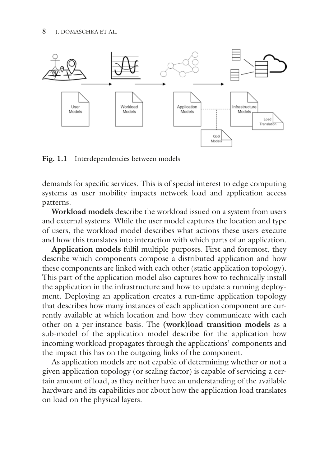<span id="page-7-0"></span>

Fig. 1.1 Interdependencies between models

demands for specific services. This is of special interest to edge computing systems as user mobility impacts network load and application access patterns.

**Workload models** describe the workload issued on a system from users and external systems. While the user model captures the location and type of users, the workload model describes what actions these users execute and how this translates into interaction with which parts of an application.

**Application models** fulfil multiple purposes. First and foremost, they describe which components compose a distributed application and how these components are linked with each other (static application topology). This part of the application model also captures how to technically install the application in the infrastructure and how to update a running deployment. Deploying an application creates a run-time application topology that describes how many instances of each application component are currently available at which location and how they communicate with each other on a per-instance basis. The **(work)load transition models** as a sub-model of the application model describe for the application how incoming workload propagates through the applications' components and the impact this has on the outgoing links of the component.

As application models are not capable of determining whether or not a given application topology (or scaling factor) is capable of servicing a certain amount of load, as they neither have an understanding of the available hardware and its capabilities nor about how the application load translates on load on the physical layers.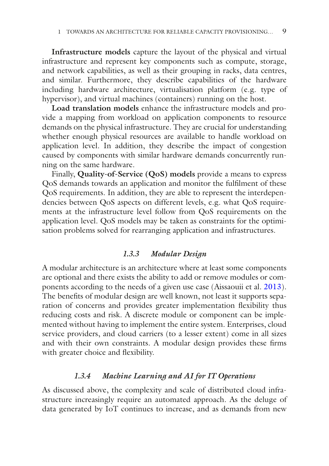**Infrastructure models** capture the layout of the physical and virtual infrastructure and represent key components such as compute, storage, and network capabilities, as well as their grouping in racks, data centres, and similar. Furthermore, they describe capabilities of the hardware including hardware architecture, virtualisation platform (e.g. type of hypervisor), and virtual machines (containers) running on the host.

**Load translation models** enhance the infrastructure models and provide a mapping from workload on application components to resource demands on the physical infrastructure. They are crucial for understanding whether enough physical resources are available to handle workload on application level. In addition, they describe the impact of congestion caused by components with similar hardware demands concurrently running on the same hardware.

Finally, **Quality-of-Service (QoS) models** provide a means to express QoS demands towards an application and monitor the fulfilment of these QoS requirements. In addition, they are able to represent the interdependencies between QoS aspects on different levels, e.g. what QoS requirements at the infrastructure level follow from QoS requirements on the application level. QoS models may be taken as constraints for the optimisation problems solved for rearranging application and infrastructures.

#### *1.3.3 Modular Design*

A modular architecture is an architecture where at least some components are optional and there exists the ability to add or remove modules or components according to the needs of a given use case (Aissaouii et al. [2013](#page-23-4)). The benefits of modular design are well known, not least it supports separation of concerns and provides greater implementation flexibility thus reducing costs and risk. A discrete module or component can be implemented without having to implement the entire system. Enterprises, cloud service providers, and cloud carriers (to a lesser extent) come in all sizes and with their own constraints. A modular design provides these firms with greater choice and flexibility.

#### *1.3.4 Machine Learning and AI for IT Operations*

As discussed above, the complexity and scale of distributed cloud infrastructure increasingly require an automated approach. As the deluge of data generated by IoT continues to increase, and as demands from new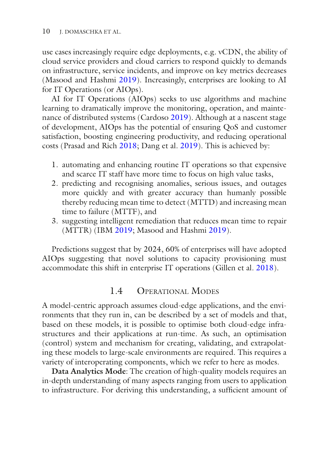use cases increasingly require edge deployments, e.g. vCDN, the ability of cloud service providers and cloud carriers to respond quickly to demands on infrastructure, service incidents, and improve on key metrics decreases (Masood and Hashmi [2019](#page-24-5)). Increasingly, enterprises are looking to AI for IT Operations (or AIOps).

AI for IT Operations (AIOps) seeks to use algorithms and machine learning to dramatically improve the monitoring, operation, and maintenance of distributed systems (Cardoso [2019](#page-23-5)). Although at a nascent stage of development, AIOps has the potential of ensuring QoS and customer satisfaction, boosting engineering productivity, and reducing operational costs (Prasad and Rich [2018;](#page-24-6) Dang et al. [2019](#page-23-6)). This is achieved by:

- 1. automating and enhancing routine IT operations so that expensive and scarce IT staff have more time to focus on high value tasks,
- 2. predicting and recognising anomalies, serious issues, and outages more quickly and with greater accuracy than humanly possible thereby reducing mean time to detect (MTTD) and increasing mean time to failure (MTTF), and
- 3. suggesting intelligent remediation that reduces mean time to repair (MTTR) (IBM [2019](#page-23-7); Masood and Hashmi [2019\)](#page-24-5).

Predictions suggest that by 2024, 60% of enterprises will have adopted AIOps suggesting that novel solutions to capacity provisioning must accommodate this shift in enterprise IT operations (Gillen et al. [2018](#page-23-8)).

# <span id="page-9-0"></span>1.4 Operational Modes

A model-centric approach assumes cloud-edge applications, and the environments that they run in, can be described by a set of models and that, based on these models, it is possible to optimise both cloud-edge infrastructures and their applications at run-time. As such, an optimisation (control) system and mechanism for creating, validating, and extrapolating these models to large-scale environments are required. This requires a variety of interoperating components, which we refer to here as modes.

**Data Analytics Mode**: The creation of high-quality models requires an in-depth understanding of many aspects ranging from users to application to infrastructure. For deriving this understanding, a sufficient amount of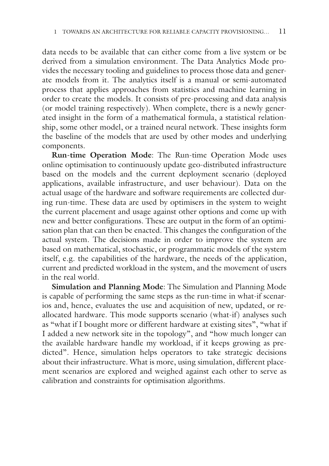data needs to be available that can either come from a live system or be derived from a simulation environment. The Data Analytics Mode provides the necessary tooling and guidelines to process those data and generate models from it. The analytics itself is a manual or semi-automated process that applies approaches from statistics and machine learning in order to create the models. It consists of pre-processing and data analysis (or model training respectively). When complete, there is a newly generated insight in the form of a mathematical formula, a statistical relationship, some other model, or a trained neural network. These insights form the baseline of the models that are used by other modes and underlying components.

**Run-time Operation Mode**: The Run-time Operation Mode uses online optimisation to continuously update geo-distributed infrastructure based on the models and the current deployment scenario (deployed applications, available infrastructure, and user behaviour). Data on the actual usage of the hardware and software requirements are collected during run-time. These data are used by optimisers in the system to weight the current placement and usage against other options and come up with new and better configurations. These are output in the form of an optimisation plan that can then be enacted. This changes the configuration of the actual system. The decisions made in order to improve the system are based on mathematical, stochastic, or programmatic models of the system itself, e.g. the capabilities of the hardware, the needs of the application, current and predicted workload in the system, and the movement of users in the real world.

**Simulation and Planning Mode**: The Simulation and Planning Mode is capable of performing the same steps as the run-time in what-if scenarios and, hence, evaluates the use and acquisition of new, updated, or reallocated hardware. This mode supports scenario (what-if) analyses such as "what if I bought more or different hardware at existing sites", "what if I added a new network site in the topology", and "how much longer can the available hardware handle my workload, if it keeps growing as predicted". Hence, simulation helps operators to take strategic decisions about their infrastructure. What is more, using simulation, different placement scenarios are explored and weighed against each other to serve as calibration and constraints for optimisation algorithms.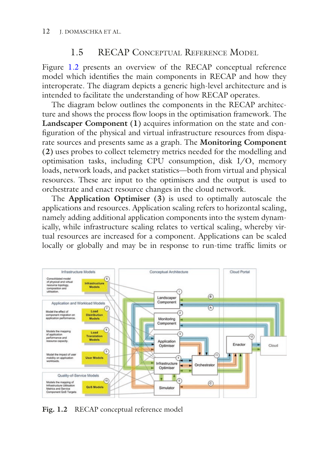# <span id="page-11-1"></span>1.5 RECAP Conceptual Reference Model

Figure [1.2](#page-11-0) presents an overview of the RECAP conceptual reference model which identifies the main components in RECAP and how they interoperate. The diagram depicts a generic high-level architecture and is intended to facilitate the understanding of how RECAP operates.

The diagram below outlines the components in the RECAP architecture and shows the process flow loops in the optimisation framework. The **Landscaper Component (1)** acquires information on the state and configuration of the physical and virtual infrastructure resources from disparate sources and presents same as a graph. The **Monitoring Component (2)** uses probes to collect telemetry metrics needed for the modelling and optimisation tasks, including CPU consumption, disk I/O, memory loads, network loads, and packet statistics—both from virtual and physical resources. These are input to the optimisers and the output is used to orchestrate and enact resource changes in the cloud network.

The **Application Optimiser (3)** is used to optimally autoscale the applications and resources. Application scaling refers to horizontal scaling, namely adding additional application components into the system dynamically, while infrastructure scaling relates to vertical scaling, whereby virtual resources are increased for a component. Applications can be scaled locally or globally and may be in response to run-time traffic limits or

<span id="page-11-0"></span>

**Fig. 1.2** RECAP conceptual reference model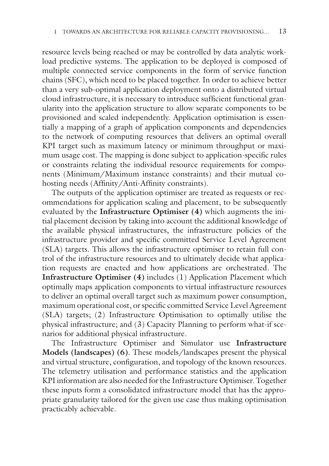resource levels being reached or may be controlled by data analytic workload predictive systems. The application to be deployed is composed of multiple connected service components in the form of service function chains (SFC), which need to be placed together. In order to achieve better than a very sub-optimal application deployment onto a distributed virtual cloud infrastructure, it is necessary to introduce sufficient functional granularity into the application structure to allow separate components to be provisioned and scaled independently. Application optimisation is essentially a mapping of a graph of application components and dependencies to the network of computing resources that delivers an optimal overall KPI target such as maximum latency or minimum throughput or maximum usage cost. The mapping is done subject to application-specific rules or constraints relating the individual resource requirements for components (Minimum/Maximum instance constraints) and their mutual cohosting needs (Affinity/Anti-Affinity constraints).

The outputs of the application optimiser are treated as requests or recommendations for application scaling and placement, to be subsequently evaluated by the **Infrastructure Optimiser (4)** which augments the initial placement decision by taking into account the additional knowledge of the available physical infrastructures, the infrastructure policies of the infrastructure provider and specific committed Service Level Agreement (SLA) targets. This allows the infrastructure optimiser to retain full control of the infrastructure resources and to ultimately decide what application requests are enacted and how applications are orchestrated. The **Infrastructure Optimiser (4)** includes (1) Application Placement which optimally maps application components to virtual infrastructure resources to deliver an optimal overall target such as maximum power consumption, maximum operational cost, or specific committed Service Level Agreement (SLA) targets; (2) Infrastructure Optimisation to optimally utilise the physical infrastructure; and (3) Capacity Planning to perform what-if scenarios for additional physical infrastructure.

The Infrastructure Optimiser and Simulator use **Infrastructure Models (landscapes) (6)**. These models/landscapes present the physical and virtual structure, configuration, and topology of the known resources. The telemetry utilisation and performance statistics and the application KPI information are also needed for the Infrastructure Optimiser. Together these inputs form a consolidated infrastructure model that has the appropriate granularity tailored for the given use case thus making optimisation practicably achievable.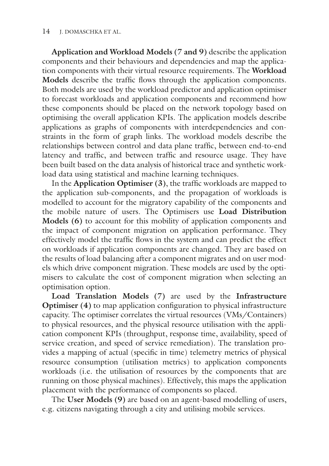#### 14 J. DOMASCHKA ET AL.

**Application and Workload Models (7 and 9)** describe the application components and their behaviours and dependencies and map the application components with their virtual resource requirements. The **Workload Models** describe the traffic flows through the application components. Both models are used by the workload predictor and application optimiser to forecast workloads and application components and recommend how these components should be placed on the network topology based on optimising the overall application KPIs. The application models describe applications as graphs of components with interdependencies and constraints in the form of graph links. The workload models describe the relationships between control and data plane traffic, between end-to-end latency and traffic, and between traffic and resource usage. They have been built based on the data analysis of historical trace and synthetic workload data using statistical and machine learning techniques.

In the **Application Optimiser (3)**, the traffic workloads are mapped to the application sub-components, and the propagation of workloads is modelled to account for the migratory capability of the components and the mobile nature of users. The Optimisers use **Load Distribution Models (6)** to account for this mobility of application components and the impact of component migration on application performance. They effectively model the traffic flows in the system and can predict the effect on workloads if application components are changed. They are based on the results of load balancing after a component migrates and on user models which drive component migration. These models are used by the optimisers to calculate the cost of component migration when selecting an optimisation option.

**Load Translation Models (7)** are used by the **Infrastructure Optimiser (4)** to map application configuration to physical infrastructure capacity. The optimiser correlates the virtual resources (VMs/Containers) to physical resources, and the physical resource utilisation with the application component KPIs (throughput, response time, availability, speed of service creation, and speed of service remediation). The translation provides a mapping of actual (specific in time) telemetry metrics of physical resource consumption (utilisation metrics) to application components workloads (i.e. the utilisation of resources by the components that are running on those physical machines). Effectively, this maps the application placement with the performance of components so placed.

The **User Models (9)** are based on an agent-based modelling of users, e.g. citizens navigating through a city and utilising mobile services.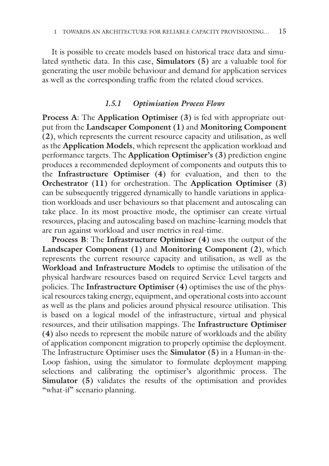It is possible to create models based on historical trace data and simulated synthetic data. In this case, **Simulators (5)** are a valuable tool for generating the user mobile behaviour and demand for application services as well as the corresponding traffic from the related cloud services.

#### *1.5.1 Optimisation Process Flows*

**Process A**: The **Application Optimiser (3)** is fed with appropriate output from the **Landscaper Component (1)** and **Monitoring Component (2)**, which represents the current resource capacity and utilisation, as well as the **Application Models**, which represent the application workload and performance targets. The **Application Optimiser's (3)** prediction engine produces a recommended deployment of components and outputs this to the **Infrastructure Optimiser (4)** for evaluation, and then to the **Orchestrator (11)** for orchestration. The **Application Optimiser (3)** can be subsequently triggered dynamically to handle variations in application workloads and user behaviours so that placement and autoscaling can take place. In its most proactive mode, the optimiser can create virtual resources, placing and autoscaling based on machine-learning models that are run against workload and user metrics in real-time.

**Process B**: The **Infrastructure Optimiser (4)** uses the output of the **Landscaper Component (1)** and **Monitoring Component (2)**, which represents the current resource capacity and utilisation, as well as the **Workload and Infrastructure Models** to optimise the utilisation of the physical hardware resources based on required Service Level targets and policies. The **Infrastructure Optimiser (4)** optimises the use of the physical resources taking energy, equipment, and operational costs into account as well as the plans and policies around physical resource utilisation. This is based on a logical model of the infrastructure, virtual and physical resources, and their utilisation mappings. The **Infrastructure Optimiser (4)** also needs to represent the mobile nature of workloads and the ability of application component migration to properly optimise the deployment. The Infrastructure Optimiser uses the **Simulator (5)** in a Human-in-the-Loop fashion, using the simulator to formulate deployment mapping selections and calibrating the optimiser's algorithmic process. The **Simulator (5)** validates the results of the optimisation and provides "what-if" scenario planning.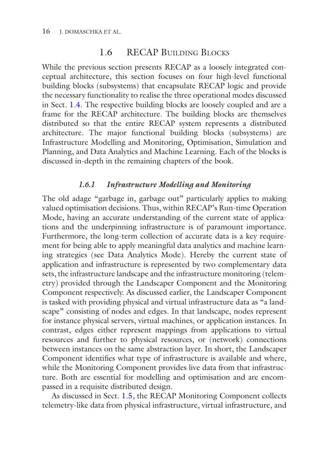# <span id="page-15-0"></span>1.6 RECAP Building Blocks

While the previous section presents RECAP as a loosely integrated conceptual architecture, this section focuses on four high-level functional building blocks (subsystems) that encapsulate RECAP logic and provide the necessary functionality to realise the three operational modes discussed in Sect. [1.4.](#page-9-0) The respective building blocks are loosely coupled and are a frame for the RECAP architecture. The building blocks are themselves distributed so that the entire RECAP system represents a distributed architecture. The major functional building blocks (subsystems) are Infrastructure Modelling and Monitoring, Optimisation, Simulation and Planning, and Data Analytics and Machine Learning. Each of the blocks is discussed in-depth in the remaining chapters of the book.

# *1.6.1 Infrastructure Modelling and Monitoring*

The old adage "garbage in, garbage out" particularly applies to making valued optimisation decisions. Thus, within RECAP's Run-time Operation Mode, having an accurate understanding of the current state of applications and the underpinning infrastructure is of paramount importance. Furthermore, the long-term collection of accurate data is a key requirement for being able to apply meaningful data analytics and machine learning strategies (see Data Analytics Mode). Hereby the current state of application and infrastructure is represented by two complementary data sets, the infrastructure landscape and the infrastructure monitoring (telemetry) provided through the Landscaper Component and the Monitoring Component respectively. As discussed earlier, the Landscaper Component is tasked with providing physical and virtual infrastructure data as "a landscape" consisting of nodes and edges. In that landscape, nodes represent for instance physical servers, virtual machines, or application instances. In contrast, edges either represent mappings from applications to virtual resources and further to physical resources, or (network) connections between instances on the same abstraction layer. In short, the Landscaper Component identifies what type of infrastructure is available and where, while the Monitoring Component provides live data from that infrastructure. Both are essential for modelling and optimisation and are encompassed in a requisite distributed design.

As discussed in Sect. [1.5](#page-11-1), the RECAP Monitoring Component collects telemetry-like data from physical infrastructure, virtual infrastructure, and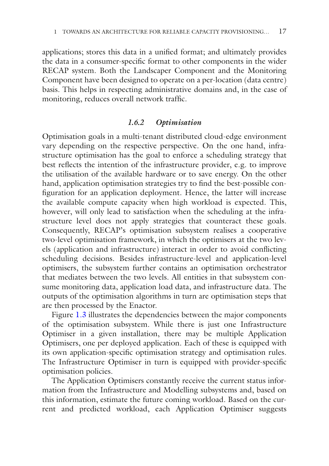applications; stores this data in a unified format; and ultimately provides the data in a consumer-specific format to other components in the wider RECAP system. Both the Landscaper Component and the Monitoring Component have been designed to operate on a per-location (data centre) basis. This helps in respecting administrative domains and, in the case of monitoring, reduces overall network traffic.

#### *1.6.2 Optimisation*

Optimisation goals in a multi-tenant distributed cloud-edge environment vary depending on the respective perspective. On the one hand, infrastructure optimisation has the goal to enforce a scheduling strategy that best reflects the intention of the infrastructure provider, e.g. to improve the utilisation of the available hardware or to save energy. On the other hand, application optimisation strategies try to find the best-possible configuration for an application deployment. Hence, the latter will increase the available compute capacity when high workload is expected. This, however, will only lead to satisfaction when the scheduling at the infrastructure level does not apply strategies that counteract these goals. Consequently, RECAP's optimisation subsystem realises a cooperative two-level optimisation framework, in which the optimisers at the two levels (application and infrastructure) interact in order to avoid conflicting scheduling decisions. Besides infrastructure-level and application-level optimisers, the subsystem further contains an optimisation orchestrator that mediates between the two levels. All entities in that subsystem consume monitoring data, application load data, and infrastructure data. The outputs of the optimisation algorithms in turn are optimisation steps that are then processed by the Enactor.

Figure [1.3](#page-17-0) illustrates the dependencies between the major components of the optimisation subsystem. While there is just one Infrastructure Optimiser in a given installation, there may be multiple Application Optimisers, one per deployed application. Each of these is equipped with its own application-specific optimisation strategy and optimisation rules. The Infrastructure Optimiser in turn is equipped with provider-specific optimisation policies.

The Application Optimisers constantly receive the current status information from the Infrastructure and Modelling subsystems and, based on this information, estimate the future coming workload. Based on the current and predicted workload, each Application Optimiser suggests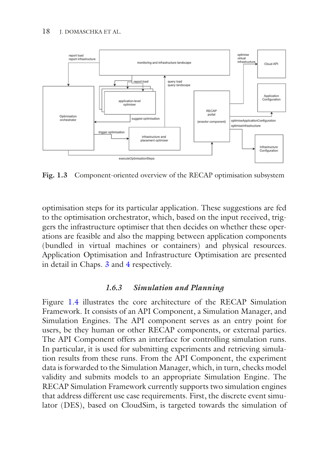<span id="page-17-0"></span>

**Fig. 1.3** Component-oriented overview of the RECAP optimisation subsystem

optimisation steps for its particular application. These suggestions are fed to the optimisation orchestrator, which, based on the input received, triggers the infrastructure optimiser that then decides on whether these operations are feasible and also the mapping between application components (bundled in virtual machines or containers) and physical resources. Application Optimisation and Infrastructure Optimisation are presented in detail in Chaps. [3](https://doi.org/10.1007/978-3-030-39863-7_3) and [4](https://doi.org/10.1007/978-3-030-39863-7_4) respectively.

#### *1.6.3 Simulation and Planning*

Figure [1.4](#page-18-0) illustrates the core architecture of the RECAP Simulation Framework. It consists of an API Component, a Simulation Manager, and Simulation Engines. The API component serves as an entry point for users, be they human or other RECAP components, or external parties. The API Component offers an interface for controlling simulation runs. In particular, it is used for submitting experiments and retrieving simulation results from these runs. From the API Component, the experiment data is forwarded to the Simulation Manager, which, in turn, checks model validity and submits models to an appropriate Simulation Engine. The RECAP Simulation Framework currently supports two simulation engines that address different use case requirements. First, the discrete event simulator (DES), based on CloudSim, is targeted towards the simulation of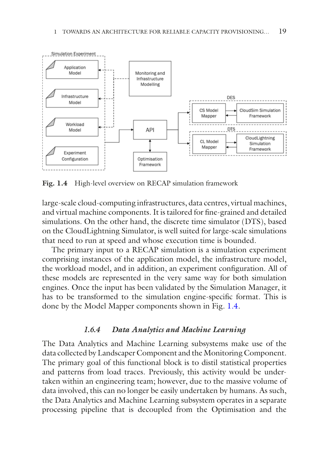<span id="page-18-0"></span>

**Fig. 1.4** High-level overview on RECAP simulation framework

large-scale cloud-computing infrastructures, data centres, virtual machines, and virtual machine components. It is tailored for fine-grained and detailed simulations. On the other hand, the discrete time simulator (DTS), based on the CloudLightning Simulator, is well suited for large-scale simulations that need to run at speed and whose execution time is bounded.

The primary input to a RECAP simulation is a simulation experiment comprising instances of the application model, the infrastructure model, the workload model, and in addition, an experiment configuration. All of these models are represented in the very same way for both simulation engines. Once the input has been validated by the Simulation Manager, it has to be transformed to the simulation engine-specific format. This is done by the Model Mapper components shown in Fig. [1.4.](#page-18-0)

#### *1.6.4 Data Analytics and Machine Learning*

The Data Analytics and Machine Learning subsystems make use of the data collected by Landscaper Component and the Monitoring Component. The primary goal of this functional block is to distil statistical properties and patterns from load traces. Previously, this activity would be undertaken within an engineering team; however, due to the massive volume of data involved, this can no longer be easily undertaken by humans. As such, the Data Analytics and Machine Learning subsystem operates in a separate processing pipeline that is decoupled from the Optimisation and the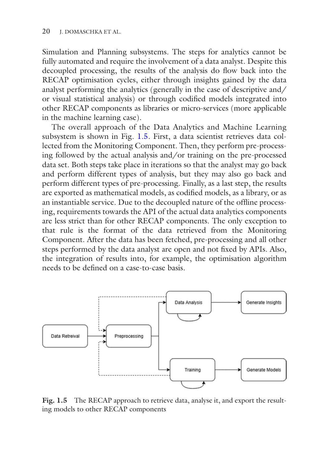Simulation and Planning subsystems. The steps for analytics cannot be fully automated and require the involvement of a data analyst. Despite this decoupled processing, the results of the analysis do flow back into the RECAP optimisation cycles, either through insights gained by the data analyst performing the analytics (generally in the case of descriptive and/ or visual statistical analysis) or through codified models integrated into other RECAP components as libraries or micro-services (more applicable in the machine learning case).

The overall approach of the Data Analytics and Machine Learning subsystem is shown in Fig. [1.5](#page-19-0). First, a data scientist retrieves data collected from the Monitoring Component. Then, they perform pre-processing followed by the actual analysis and/or training on the pre-processed data set. Both steps take place in iterations so that the analyst may go back and perform different types of analysis, but they may also go back and perform different types of pre-processing. Finally, as a last step, the results are exported as mathematical models, as codified models, as a library, or as an instantiable service. Due to the decoupled nature of the offline processing, requirements towards the API of the actual data analytics components are less strict than for other RECAP components. The only exception to that rule is the format of the data retrieved from the Monitoring Component. After the data has been fetched, pre-processing and all other steps performed by the data analyst are open and not fixed by APIs. Also, the integration of results into, for example, the optimisation algorithm needs to be defined on a case-to-case basis.

<span id="page-19-0"></span>

Fig. 1.5 The RECAP approach to retrieve data, analyse it, and export the resulting models to other RECAP components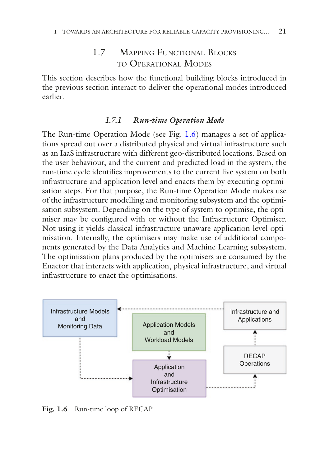# 1.7 Mapping Functional Blocks to Operational Modes

This section describes how the functional building blocks introduced in the previous section interact to deliver the operational modes introduced earlier.

#### *1.7.1 Run-time Operation Mode*

The Run-time Operation Mode (see Fig. [1.6\)](#page-20-0) manages a set of applications spread out over a distributed physical and virtual infrastructure such as an IaaS infrastructure with different geo-distributed locations. Based on the user behaviour, and the current and predicted load in the system, the run-time cycle identifies improvements to the current live system on both infrastructure and application level and enacts them by executing optimisation steps. For that purpose, the Run-time Operation Mode makes use of the infrastructure modelling and monitoring subsystem and the optimisation subsystem. Depending on the type of system to optimise, the optimiser may be configured with or without the Infrastructure Optimiser. Not using it yields classical infrastructure unaware application-level optimisation. Internally, the optimisers may make use of additional components generated by the Data Analytics and Machine Learning subsystem. The optimisation plans produced by the optimisers are consumed by the Enactor that interacts with application, physical infrastructure, and virtual infrastructure to enact the optimisations.

<span id="page-20-0"></span>

**Fig. 1.6** Run-time loop of RECAP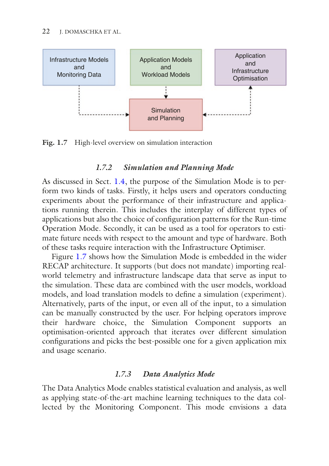<span id="page-21-0"></span>

Fig. 1.7 High-level overview on simulation interaction

### *1.7.2 Simulation and Planning Mode*

As discussed in Sect. [1.4,](#page-9-0) the purpose of the Simulation Mode is to perform two kinds of tasks. Firstly, it helps users and operators conducting experiments about the performance of their infrastructure and applications running therein. This includes the interplay of different types of applications but also the choice of configuration patterns for the Run-time Operation Mode. Secondly, it can be used as a tool for operators to estimate future needs with respect to the amount and type of hardware. Both of these tasks require interaction with the Infrastructure Optimiser.

Figure [1.7](#page-21-0) shows how the Simulation Mode is embedded in the wider RECAP architecture. It supports (but does not mandate) importing realworld telemetry and infrastructure landscape data that serve as input to the simulation. These data are combined with the user models, workload models, and load translation models to define a simulation (experiment). Alternatively, parts of the input, or even all of the input, to a simulation can be manually constructed by the user. For helping operators improve their hardware choice, the Simulation Component supports an optimisation-oriented approach that iterates over different simulation configurations and picks the best-possible one for a given application mix and usage scenario.

### *1.7.3 Data Analytics Mode*

The Data Analytics Mode enables statistical evaluation and analysis, as well as applying state-of-the-art machine learning techniques to the data collected by the Monitoring Component. This mode envisions a data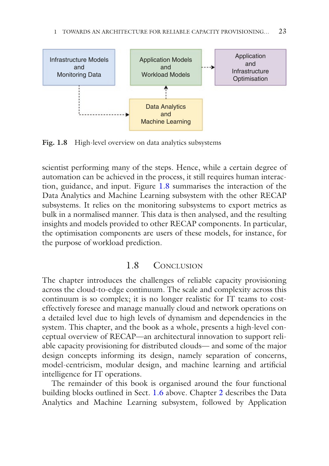<span id="page-22-0"></span>

**Fig. 1.8** High-level overview on data analytics subsystems

scientist performing many of the steps. Hence, while a certain degree of automation can be achieved in the process, it still requires human interaction, guidance, and input. Figure [1.8](#page-22-0) summarises the interaction of the Data Analytics and Machine Learning subsystem with the other RECAP subsystems. It relies on the monitoring subsystems to export metrics as bulk in a normalised manner. This data is then analysed, and the resulting insights and models provided to other RECAP components. In particular, the optimisation components are users of these models, for instance, for the purpose of workload prediction.

### 1.8 Conclusion

The chapter introduces the challenges of reliable capacity provisioning across the cloud-to-edge continuum. The scale and complexity across this continuum is so complex; it is no longer realistic for IT teams to costeffectively foresee and manage manually cloud and network operations on a detailed level due to high levels of dynamism and dependencies in the system. This chapter, and the book as a whole, presents a high-level conceptual overview of RECAP—an architectural innovation to support reliable capacity provisioning for distributed clouds— and some of the major design concepts informing its design, namely separation of concerns, model-centricism, modular design, and machine learning and artificial intelligence for IT operations.

The remainder of this book is organised around the four functional building blocks outlined in Sect. [1.6](#page-15-0) above. Chapter [2](https://doi.org/10.1007/978-3-030-39863-7_2) describes the Data Analytics and Machine Learning subsystem, followed by Application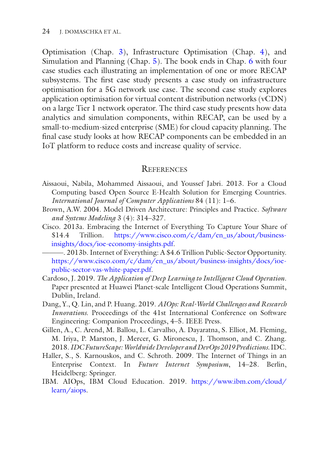Optimisation (Chap. [3\)](https://doi.org/10.1007/978-3-030-39863-7_3), Infrastructure Optimisation (Chap. [4](https://doi.org/10.1007/978-3-030-39863-7_4)), and Simulation and Planning (Chap. [5](https://doi.org/10.1007/978-3-030-39863-7_5)). The book ends in Chap. [6](https://doi.org/10.1007/978-3-030-39863-7_6) with four case studies each illustrating an implementation of one or more RECAP subsystems. The first case study presents a case study on infrastructure optimisation for a 5G network use case. The second case study explores application optimisation for virtual content distribution networks (vCDN) on a large Tier 1 network operator. The third case study presents how data analytics and simulation components, within RECAP, can be used by a small-to-medium-sized enterprise (SME) for cloud capacity planning. The final case study looks at how RECAP components can be embedded in an IoT platform to reduce costs and increase quality of service.

#### **REFERENCES**

- <span id="page-23-4"></span>Aissaoui, Nabila, Mohammed Aissaoui, and Youssef Jabri. 2013. For a Cloud Computing based Open Source E-Health Solution for Emerging Countries. *International Journal of Computer Applications* 84 (11): 1–6.
- <span id="page-23-3"></span>Brown, A.W. 2004. Model Driven Architecture: Principles and Practice. *Software and Systems Modeling* 3 (4): 314–327.
- <span id="page-23-0"></span>Cisco. 2013a. Embracing the Internet of Everything To Capture Your Share of \$14.4 Trillion. [https://www.cisco.com/c/dam/en\\_us/about/business](https://www.cisco.com/c/dam/en_us/about/business-insights/docs/ioe-economy-insights.pdf)[insights/docs/ioe-economy-insights.pdf](https://www.cisco.com/c/dam/en_us/about/business-insights/docs/ioe-economy-insights.pdf).

<span id="page-23-1"></span>———. 2013b. Internet of Everything: A \$4.6 Trillion Public-Sector Opportunity. [https://www.cisco.com/c/dam/en\\_us/about/business-insights/docs/ioe](https://www.cisco.com/c/dam/en_us/about/business-insights/docs/ioe-public-sector-vas-white-paper.pdf)[public-sector-vas-white-paper.pdf.](https://www.cisco.com/c/dam/en_us/about/business-insights/docs/ioe-public-sector-vas-white-paper.pdf)

- <span id="page-23-5"></span>Cardoso, J. 2019. *The Application of Deep Learning to Intelligent Cloud Operation*. Paper presented at Huawei Planet-scale Intelligent Cloud Operations Summit, Dublin, Ireland.
- <span id="page-23-6"></span>Dang, Y., Q. Lin, and P. Huang. 2019. *AIOps: Real-World Challenges and Research Innovations*. Proceedings of the 41st International Conference on Software Engineering: Companion Proceedings, 4–5. IEEE Press.
- <span id="page-23-8"></span>Gillen, A., C. Arend, M. Ballou, L. Carvalho, A. Dayaratna, S. Elliot, M. Fleming, M. Iriya, P. Marston, J. Mercer, G. Mironescu, J. Thomson, and C. Zhang. 2018. *IDC FutureScape: Worldwide Developer and DevOps 2019 Predictions*. IDC.
- <span id="page-23-2"></span>Haller, S., S. Karnouskos, and C. Schroth. 2009. The Internet of Things in an Enterprise Context. In *Future Internet Symposium*, 14–28. Berlin, Heidelberg: Springer.
- <span id="page-23-7"></span>IBM. AIOps, IBM Cloud Education. 2019. [https://www.ibm.com/cloud/](https://www.ibm.com/cloud/learn/aiops) [learn/aiops.](https://www.ibm.com/cloud/learn/aiops)